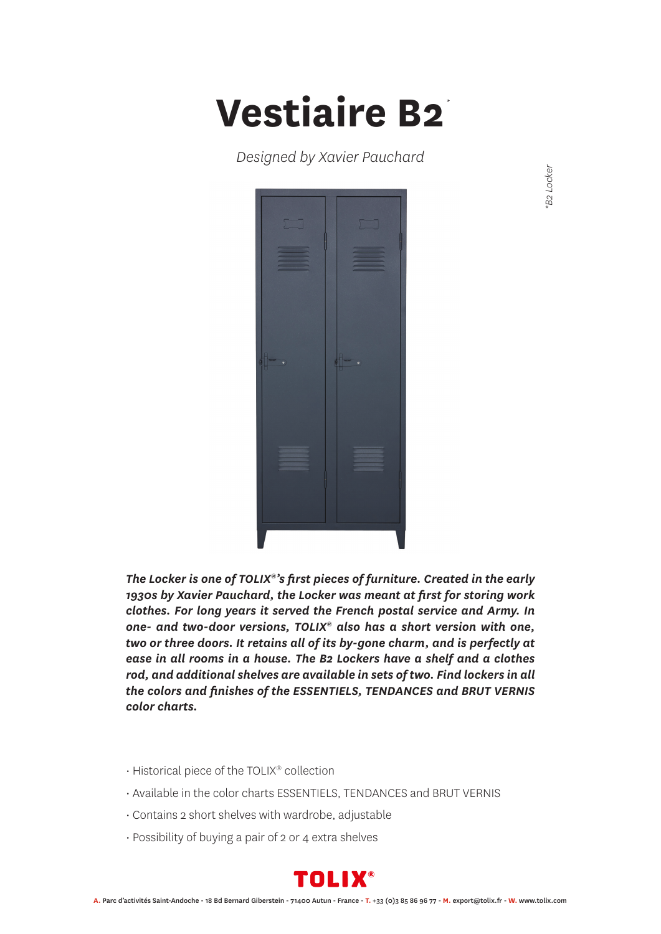## **Vestiaire B2** *\**

*Designed by Xavier Pauchard*



*The Locker is one of TOLIX®'s first pieces of furniture. Created in the early 1930s by Xavier Pauchard, the Locker was meant at first for storing work clothes. For long years it served the French postal service and Army. In one- and two-door versions, TOLIX® also has a short version with one, two or three doors. It retains all of its by-gone charm, and is perfectly at ease in all rooms in a house. The B2 Lockers have a shelf and a clothes rod, and additional shelves are available in sets of two. Find lockers in all the colors and finishes of the ESSENTIELS, TENDANCES and BRUT VERNIS color charts.*

- Historical piece of the TOLIX® collection
- Available in the color charts ESSENTIELS, TENDANCES and BRUT VERNIS
- Contains 2 short shelves with wardrobe, adjustable
- Possibility of buying a pair of 2 or 4 extra shelves



B<sub>2</sub> Locker *\*B2 Locker*